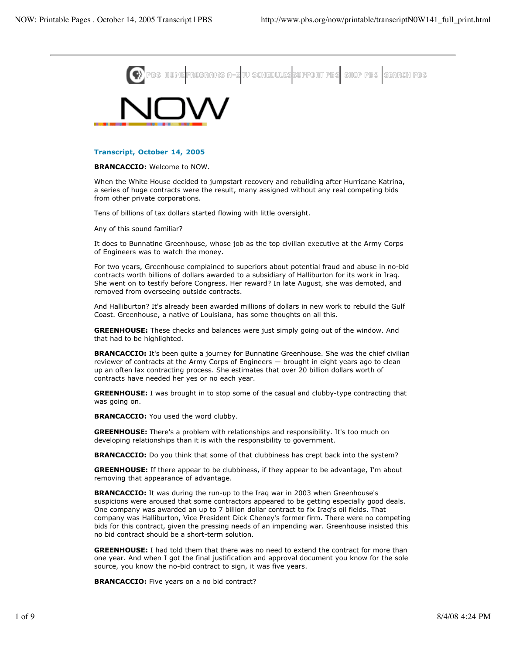

## **Transcript, October 14, 2005**

**BRANCACCIO:** Welcome to NOW.

When the White House decided to jumpstart recovery and rebuilding after Hurricane Katrina, a series of huge contracts were the result, many assigned without any real competing bids from other private corporations.

Tens of billions of tax dollars started flowing with little oversight.

Any of this sound familiar?

It does to Bunnatine Greenhouse, whose job as the top civilian executive at the Army Corps of Engineers was to watch the money.

For two years, Greenhouse complained to superiors about potential fraud and abuse in no-bid contracts worth billions of dollars awarded to a subsidiary of Halliburton for its work in Iraq. She went on to testify before Congress. Her reward? In late August, she was demoted, and removed from overseeing outside contracts.

And Halliburton? It's already been awarded millions of dollars in new work to rebuild the Gulf Coast. Greenhouse, a native of Louisiana, has some thoughts on all this.

**GREENHOUSE:** These checks and balances were just simply going out of the window. And that had to be highlighted.

**BRANCACCIO:** It's been quite a journey for Bunnatine Greenhouse. She was the chief civilian reviewer of contracts at the Army Corps of Engineers — brought in eight years ago to clean up an often lax contracting process. She estimates that over 20 billion dollars worth of contracts have needed her yes or no each year.

**GREENHOUSE:** I was brought in to stop some of the casual and clubby-type contracting that was going on.

**BRANCACCIO:** You used the word clubby.

**GREENHOUSE:** There's a problem with relationships and responsibility. It's too much on developing relationships than it is with the responsibility to government.

**BRANCACCIO:** Do you think that some of that clubbiness has crept back into the system?

**GREENHOUSE:** If there appear to be clubbiness, if they appear to be advantage, I'm about removing that appearance of advantage.

**BRANCACCIO:** It was during the run-up to the Iraq war in 2003 when Greenhouse's suspicions were aroused that some contractors appeared to be getting especially good deals. One company was awarded an up to 7 billion dollar contract to fix Iraq's oil fields. That company was Halliburton, Vice President Dick Cheney's former firm. There were no competing bids for this contract, given the pressing needs of an impending war. Greenhouse insisted this no bid contract should be a short-term solution.

**GREENHOUSE:** I had told them that there was no need to extend the contract for more than one year. And when I got the final justification and approval document you know for the sole source, you know the no-bid contract to sign, it was five years.

**BRANCACCIO:** Five years on a no bid contract?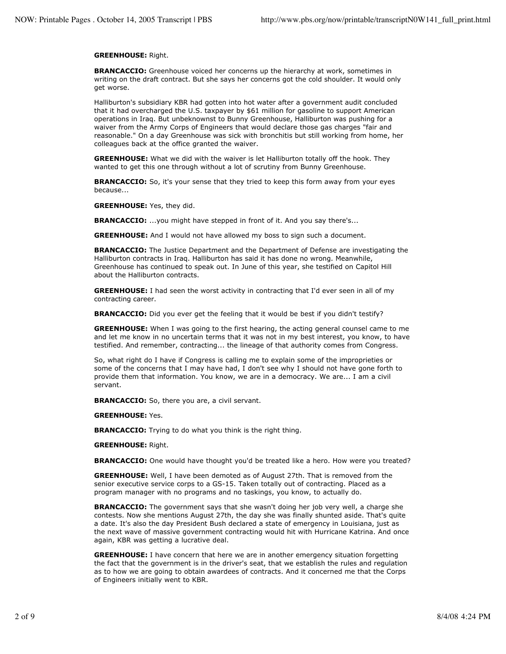## **GREENHOUSE:** Right.

**BRANCACCIO:** Greenhouse voiced her concerns up the hierarchy at work, sometimes in writing on the draft contract. But she says her concerns got the cold shoulder. It would only get worse.

Halliburton's subsidiary KBR had gotten into hot water after a government audit concluded that it had overcharged the U.S. taxpayer by \$61 million for gasoline to support American operations in Iraq. But unbeknownst to Bunny Greenhouse, Halliburton was pushing for a waiver from the Army Corps of Engineers that would declare those gas charges "fair and reasonable." On a day Greenhouse was sick with bronchitis but still working from home, her colleagues back at the office granted the waiver.

**GREENHOUSE:** What we did with the waiver is let Halliburton totally off the hook. They wanted to get this one through without a lot of scrutiny from Bunny Greenhouse.

**BRANCACCIO:** So, it's your sense that they tried to keep this form away from your eyes because...

**GREENHOUSE:** Yes, they did.

**BRANCACCIO:** ...you might have stepped in front of it. And you say there's...

**GREENHOUSE:** And I would not have allowed my boss to sign such a document.

**BRANCACCIO:** The Justice Department and the Department of Defense are investigating the Halliburton contracts in Iraq. Halliburton has said it has done no wrong. Meanwhile, Greenhouse has continued to speak out. In June of this year, she testified on Capitol Hill about the Halliburton contracts.

**GREENHOUSE:** I had seen the worst activity in contracting that I'd ever seen in all of my contracting career.

**BRANCACCIO:** Did you ever get the feeling that it would be best if you didn't testify?

**GREENHOUSE:** When I was going to the first hearing, the acting general counsel came to me and let me know in no uncertain terms that it was not in my best interest, you know, to have testified. And remember, contracting... the lineage of that authority comes from Congress.

So, what right do I have if Congress is calling me to explain some of the improprieties or some of the concerns that I may have had, I don't see why I should not have gone forth to provide them that information. You know, we are in a democracy. We are... I am a civil servant.

**BRANCACCIO:** So, there you are, a civil servant.

**GREENHOUSE:** Yes.

**BRANCACCIO:** Trying to do what you think is the right thing.

**GREENHOUSE:** Right.

**BRANCACCIO:** One would have thought you'd be treated like a hero. How were you treated?

**GREENHOUSE:** Well, I have been demoted as of August 27th. That is removed from the senior executive service corps to a GS-15. Taken totally out of contracting. Placed as a program manager with no programs and no taskings, you know, to actually do.

**BRANCACCIO:** The government says that she wasn't doing her job very well, a charge she contests. Now she mentions August 27th, the day she was finally shunted aside. That's quite a date. It's also the day President Bush declared a state of emergency in Louisiana, just as the next wave of massive government contracting would hit with Hurricane Katrina. And once again, KBR was getting a lucrative deal.

**GREENHOUSE:** I have concern that here we are in another emergency situation forgetting the fact that the government is in the driver's seat, that we establish the rules and regulation as to how we are going to obtain awardees of contracts. And it concerned me that the Corps of Engineers initially went to KBR.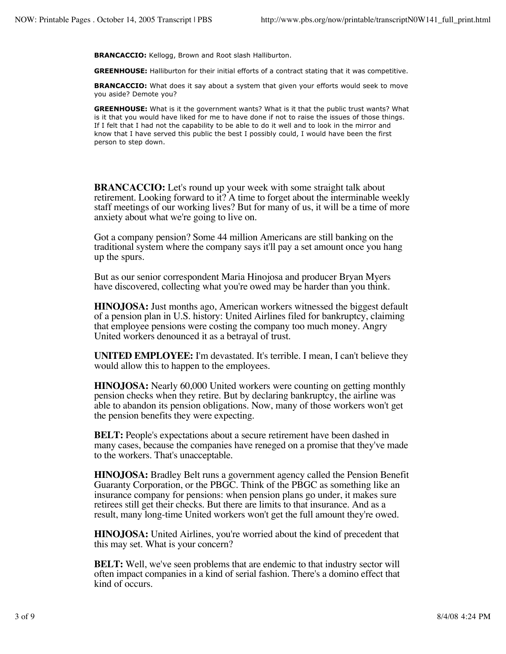**BRANCACCIO:** Kellogg, Brown and Root slash Halliburton.

**GREENHOUSE:** Halliburton for their initial efforts of a contract stating that it was competitive.

**BRANCACCIO:** What does it say about a system that given your efforts would seek to move you aside? Demote you?

**GREENHOUSE:** What is it the government wants? What is it that the public trust wants? What is it that you would have liked for me to have done if not to raise the issues of those things. If I felt that I had not the capability to be able to do it well and to look in the mirror and know that I have served this public the best I possibly could, I would have been the first person to step down.

**BRANCACCIO:** Let's round up your week with some straight talk about retirement. Looking forward to it? A time to forget about the interminable weekly staff meetings of our working lives? But for many of us, it will be a time of more anxiety about what we're going to live on.

Got a company pension? Some 44 million Americans are still banking on the traditional system where the company says it'll pay a set amount once you hang up the spurs.

But as our senior correspondent Maria Hinojosa and producer Bryan Myers have discovered, collecting what you're owed may be harder than you think.

**HINOJOSA:** Just months ago, American workers witnessed the biggest default of a pension plan in U.S. history: United Airlines filed for bankruptcy, claiming that employee pensions were costing the company too much money. Angry United workers denounced it as a betrayal of trust.

**UNITED EMPLOYEE:** I'm devastated. It's terrible. I mean, I can't believe they would allow this to happen to the employees.

**HINOJOSA:** Nearly 60,000 United workers were counting on getting monthly pension checks when they retire. But by declaring bankruptcy, the airline was able to abandon its pension obligations. Now, many of those workers won't get the pension benefits they were expecting.

**BELT:** People's expectations about a secure retirement have been dashed in many cases, because the companies have reneged on a promise that they've made to the workers. That's unacceptable.

**HINOJOSA:** Bradley Belt runs a government agency called the Pension Benefit Guaranty Corporation, or the PBGC. Think of the PBGC as something like an insurance company for pensions: when pension plans go under, it makes sure retirees still get their checks. But there are limits to that insurance. And as a result, many long-time United workers won't get the full amount they're owed.

**HINOJOSA:** United Airlines, you're worried about the kind of precedent that this may set. What is your concern?

**BELT:** Well, we've seen problems that are endemic to that industry sector will often impact companies in a kind of serial fashion. There's a domino effect that kind of occurs.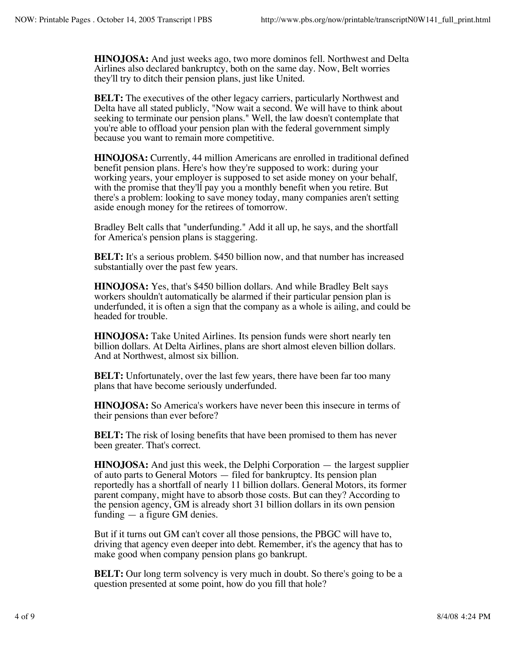**HINOJOSA:** And just weeks ago, two more dominos fell. Northwest and Delta Airlines also declared bankruptcy, both on the same day. Now, Belt worries they'll try to ditch their pension plans, just like United.

**BELT:** The executives of the other legacy carriers, particularly Northwest and Delta have all stated publicly, "Now wait a second. We will have to think about seeking to terminate our pension plans." Well, the law doesn't contemplate that you're able to offload your pension plan with the federal government simply because you want to remain more competitive.

**HINOJOSA:** Currently, 44 million Americans are enrolled in traditional defined benefit pension plans. Here's how they're supposed to work: during your working years, your employer is supposed to set aside money on your behalf, with the promise that they'll pay you a monthly benefit when you retire. But there's a problem: looking to save money today, many companies aren't setting aside enough money for the retirees of tomorrow.

Bradley Belt calls that "underfunding." Add it all up, he says, and the shortfall for America's pension plans is staggering.

**BELT:** It's a serious problem. \$450 billion now, and that number has increased substantially over the past few years.

**HINOJOSA:** Yes, that's \$450 billion dollars. And while Bradley Belt says workers shouldn't automatically be alarmed if their particular pension plan is underfunded, it is often a sign that the company as a whole is ailing, and could be headed for trouble.

**HINOJOSA:** Take United Airlines. Its pension funds were short nearly ten billion dollars. At Delta Airlines, plans are short almost eleven billion dollars. And at Northwest, almost six billion.

**BELT:** Unfortunately, over the last few years, there have been far too many plans that have become seriously underfunded.

**HINOJOSA:** So America's workers have never been this insecure in terms of their pensions than ever before?

**BELT:** The risk of losing benefits that have been promised to them has never been greater. That's correct.

**HINOJOSA:** And just this week, the Delphi Corporation — the largest supplier of auto parts to General Motors — filed for bankruptcy. Its pension plan reportedly has a shortfall of nearly 11 billion dollars. General Motors, its former parent company, might have to absorb those costs. But can they? According to the pension agency, GM is already short 31 billion dollars in its own pension funding — a figure GM denies.

But if it turns out GM can't cover all those pensions, the PBGC will have to, driving that agency even deeper into debt. Remember, it's the agency that has to make good when company pension plans go bankrupt.

**BELT:** Our long term solvency is very much in doubt. So there's going to be a question presented at some point, how do you fill that hole?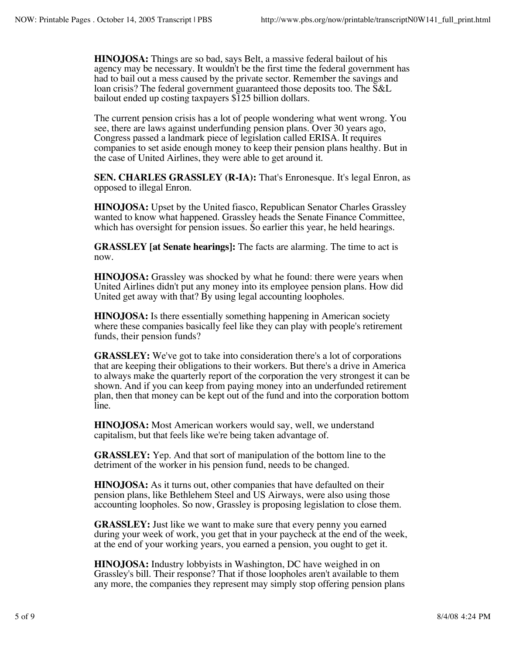**HINOJOSA:** Things are so bad, says Belt, a massive federal bailout of his agency may be necessary. It wouldn't be the first time the federal government has had to bail out a mess caused by the private sector. Remember the savings and loan crisis? The federal government guaranteed those deposits too. The S&L bailout ended up costing taxpayers \$125 billion dollars.

The current pension crisis has a lot of people wondering what went wrong. You see, there are laws against underfunding pension plans. Over 30 years ago, Congress passed a landmark piece of legislation called ERISA. It requires companies to set aside enough money to keep their pension plans healthy. But in the case of United Airlines, they were able to get around it.

**SEN. CHARLES GRASSLEY (R-IA):** That's Enronesque. It's legal Enron, as opposed to illegal Enron.

**HINOJOSA:** Upset by the United fiasco, Republican Senator Charles Grassley wanted to know what happened. Grassley heads the Senate Finance Committee, which has oversight for pension issues. So earlier this year, he held hearings.

**GRASSLEY [at Senate hearings]:** The facts are alarming. The time to act is now.

**HINOJOSA:** Grassley was shocked by what he found: there were years when United Airlines didn't put any money into its employee pension plans. How did United get away with that? By using legal accounting loopholes.

**HINOJOSA:** Is there essentially something happening in American society where these companies basically feel like they can play with people's retirement funds, their pension funds?

**GRASSLEY:** We've got to take into consideration there's a lot of corporations that are keeping their obligations to their workers. But there's a drive in America to always make the quarterly report of the corporation the very strongest it can be shown. And if you can keep from paying money into an underfunded retirement plan, then that money can be kept out of the fund and into the corporation bottom line.

**HINOJOSA:** Most American workers would say, well, we understand capitalism, but that feels like we're being taken advantage of.

**GRASSLEY:** Yep. And that sort of manipulation of the bottom line to the detriment of the worker in his pension fund, needs to be changed.

**HINOJOSA:** As it turns out, other companies that have defaulted on their pension plans, like Bethlehem Steel and US Airways, were also using those accounting loopholes. So now, Grassley is proposing legislation to close them.

**GRASSLEY:** Just like we want to make sure that every penny you earned during your week of work, you get that in your paycheck at the end of the week, at the end of your working years, you earned a pension, you ought to get it.

**HINOJOSA:** Industry lobbyists in Washington, DC have weighed in on Grassley's bill. Their response? That if those loopholes aren't available to them any more, the companies they represent may simply stop offering pension plans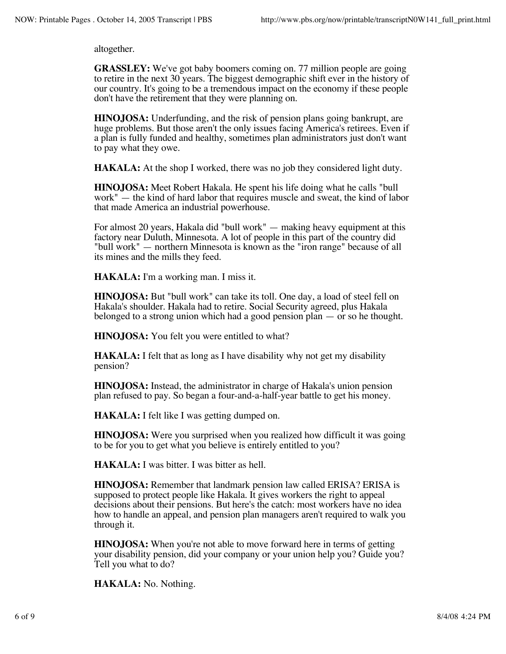altogether.

**GRASSLEY:** We've got baby boomers coming on. 77 million people are going to retire in the next 30 years. The biggest demographic shift ever in the history of our country. It's going to be a tremendous impact on the economy if these people don't have the retirement that they were planning on.

**HINOJOSA:** Underfunding, and the risk of pension plans going bankrupt, are huge problems. But those aren't the only issues facing America's retirees. Even if a plan is fully funded and healthy, sometimes plan administrators just don't want to pay what they owe.

**HAKALA:** At the shop I worked, there was no job they considered light duty.

**HINOJOSA:** Meet Robert Hakala. He spent his life doing what he calls "bull work" — the kind of hard labor that requires muscle and sweat, the kind of labor that made America an industrial powerhouse.

For almost 20 years, Hakala did "bull work" — making heavy equipment at this factory near Duluth, Minnesota. A lot of people in this part of the country did "bull work" — northern Minnesota is known as the "iron range" because of all its mines and the mills they feed.

**HAKALA:** I'm a working man. I miss it.

**HINOJOSA:** But "bull work" can take its toll. One day, a load of steel fell on Hakala's shoulder. Hakala had to retire. Social Security agreed, plus Hakala belonged to a strong union which had a good pension plan — or so he thought.

**HINOJOSA:** You felt you were entitled to what?

**HAKALA:** I felt that as long as I have disability why not get my disability pension?

**HINOJOSA:** Instead, the administrator in charge of Hakala's union pension plan refused to pay. So began a four-and-a-half-year battle to get his money.

**HAKALA:** I felt like I was getting dumped on.

**HINOJOSA:** Were you surprised when you realized how difficult it was going to be for you to get what you believe is entirely entitled to you?

**HAKALA:** I was bitter. I was bitter as hell.

**HINOJOSA:** Remember that landmark pension law called ERISA? ERISA is supposed to protect people like Hakala. It gives workers the right to appeal decisions about their pensions. But here's the catch: most workers have no idea how to handle an appeal, and pension plan managers aren't required to walk you through it.

**HINOJOSA:** When you're not able to move forward here in terms of getting your disability pension, did your company or your union help you? Guide you? Tell you what to do?

**HAKALA:** No. Nothing.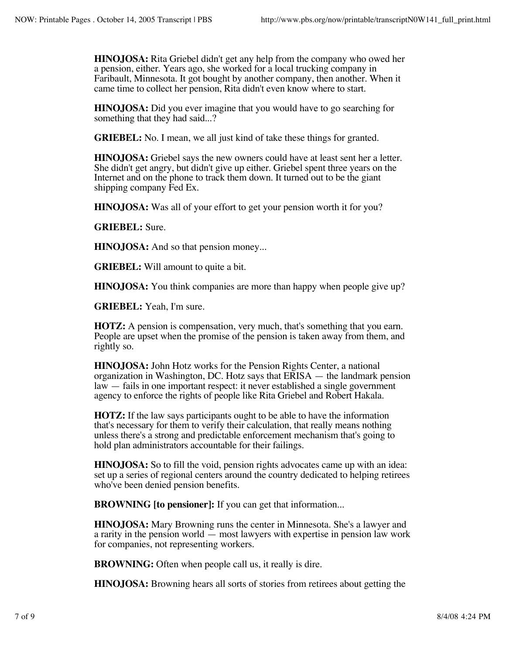**HINOJOSA:** Rita Griebel didn't get any help from the company who owed her a pension, either. Years ago, she worked for a local trucking company in Faribault, Minnesota. It got bought by another company, then another. When it came time to collect her pension, Rita didn't even know where to start.

**HINOJOSA:** Did you ever imagine that you would have to go searching for something that they had said...?

**GRIEBEL:** No. I mean, we all just kind of take these things for granted.

**HINOJOSA:** Griebel says the new owners could have at least sent her a letter. She didn't get angry, but didn't give up either. Griebel spent three years on the Internet and on the phone to track them down. It turned out to be the giant shipping company Fed Ex.

**HINOJOSA:** Was all of your effort to get your pension worth it for you?

**GRIEBEL:** Sure.

**HINOJOSA:** And so that pension money...

**GRIEBEL:** Will amount to quite a bit.

**HINOJOSA:** You think companies are more than happy when people give up?

**GRIEBEL:** Yeah, I'm sure.

**HOTZ:** A pension is compensation, very much, that's something that you earn. People are upset when the promise of the pension is taken away from them, and rightly so.

**HINOJOSA:** John Hotz works for the Pension Rights Center, a national organization in Washington, DC. Hotz says that ERISA — the landmark pension law — fails in one important respect: it never established a single government agency to enforce the rights of people like Rita Griebel and Robert Hakala.

**HOTZ:** If the law says participants ought to be able to have the information that's necessary for them to verify their calculation, that really means nothing unless there's a strong and predictable enforcement mechanism that's going to hold plan administrators accountable for their failings.

**HINOJOSA:** So to fill the void, pension rights advocates came up with an idea: set up a series of regional centers around the country dedicated to helping retirees who've been denied pension benefits.

**BROWNING [to pensioner]:** If you can get that information...

**HINOJOSA:** Mary Browning runs the center in Minnesota. She's a lawyer and a rarity in the pension world — most lawyers with expertise in pension law work for companies, not representing workers.

**BROWNING:** Often when people call us, it really is dire.

**HINOJOSA:** Browning hears all sorts of stories from retirees about getting the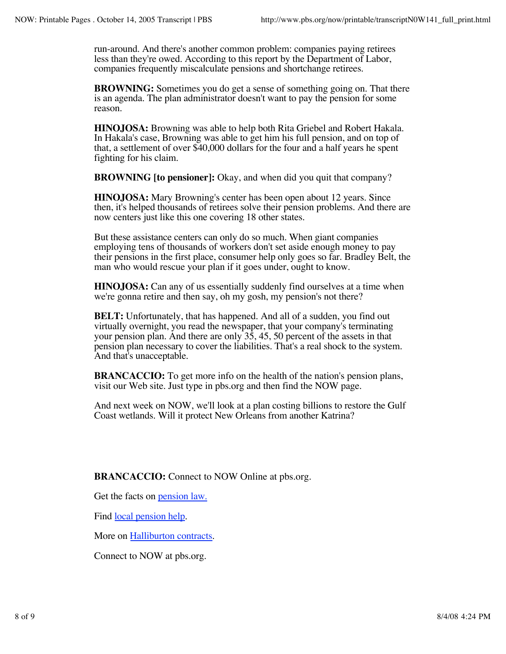run-around. And there's another common problem: companies paying retirees less than they're owed. According to this report by the Department of Labor, companies frequently miscalculate pensions and shortchange retirees.

**BROWNING:** Sometimes you do get a sense of something going on. That there is an agenda. The plan administrator doesn't want to pay the pension for some reason.

**HINOJOSA:** Browning was able to help both Rita Griebel and Robert Hakala. In Hakala's case, Browning was able to get him his full pension, and on top of that, a settlement of over \$40,000 dollars for the four and a half years he spent fighting for his claim.

**BROWNING [to pensioner]:** Okay, and when did you quit that company?

**HINOJOSA:** Mary Browning's center has been open about 12 years. Since then, it's helped thousands of retirees solve their pension problems. And there are now centers just like this one covering 18 other states.

But these assistance centers can only do so much. When giant companies employing tens of thousands of workers don't set aside enough money to pay their pensions in the first place, consumer help only goes so far. Bradley Belt, the man who would rescue your plan if it goes under, ought to know.

**HINOJOSA:** Can any of us essentially suddenly find ourselves at a time when we're gonna retire and then say, oh my gosh, my pension's not there?

**BELT:** Unfortunately, that has happened. And all of a sudden, you find out virtually overnight, you read the newspaper, that your company's terminating your pension plan. And there are only 35, 45, 50 percent of the assets in that pension plan necessary to cover the liabilities. That's a real shock to the system. And that's unacceptable.

**BRANCACCIO:** To get more info on the health of the nation's pension plans, visit our Web site. Just type in pbs.org and then find the NOW page.

And next week on NOW, we'll look at a plan costing billions to restore the Gulf Coast wetlands. Will it protect New Orleans from another Katrina?

**BRANCACCIO:** Connect to NOW Online at pbs.org.

Get the facts on <u>pension law</u>.

Find <u>local pension help</u>.

More on Halliburton contracts.

Connect to NOW at pbs.org.